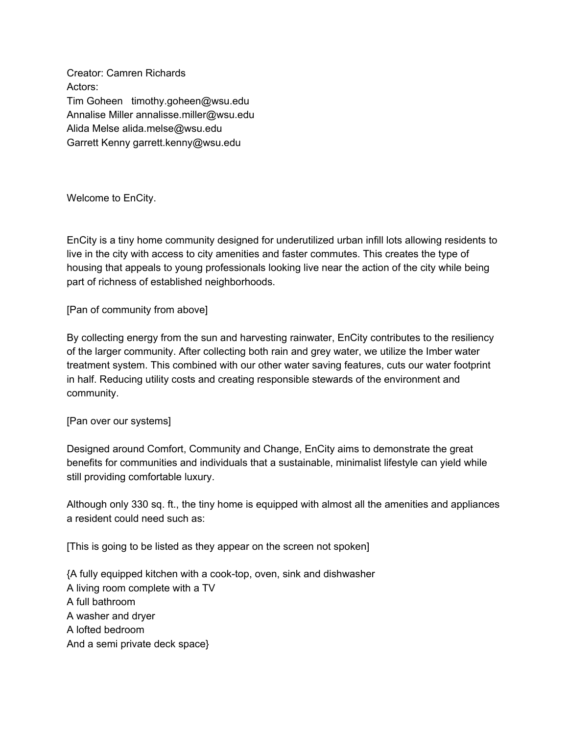Creator: Camren Richards Actors: Tim Goheen timothy.goheen@wsu.edu Annalise Miller annalisse.miller@wsu.edu Alida Melse alida.melse@wsu.edu Garrett Kenny garrett.kenny@wsu.edu

Welcome to EnCity.

EnCity is a tiny home community designed for underutilized urban infill lots allowing residents to live in the city with access to city amenities and faster commutes. This creates the type of housing that appeals to young professionals looking live near the action of the city while being part of richness of established neighborhoods.

[Pan of community from above]

By collecting energy from the sun and harvesting rainwater, EnCity contributes to the resiliency of the larger community. After collecting both rain and grey water, we utilize the Imber water treatment system. This combined with our other water saving features, cuts our water footprint in half. Reducing utility costs and creating responsible stewards of the environment and community.

[Pan over our systems]

Designed around Comfort, Community and Change, EnCity aims to demonstrate the great benefits for communities and individuals that a sustainable, minimalist lifestyle can yield while still providing comfortable luxury.

Although only 330 sq. ft., the tiny home is equipped with almost all the amenities and appliances a resident could need such as:

[This is going to be listed as they appear on the screen not spoken]

{A fully equipped kitchen with a cook-top, oven, sink and dishwasher A living room complete with a TV A full bathroom A washer and dryer A lofted bedroom And a semi private deck space}